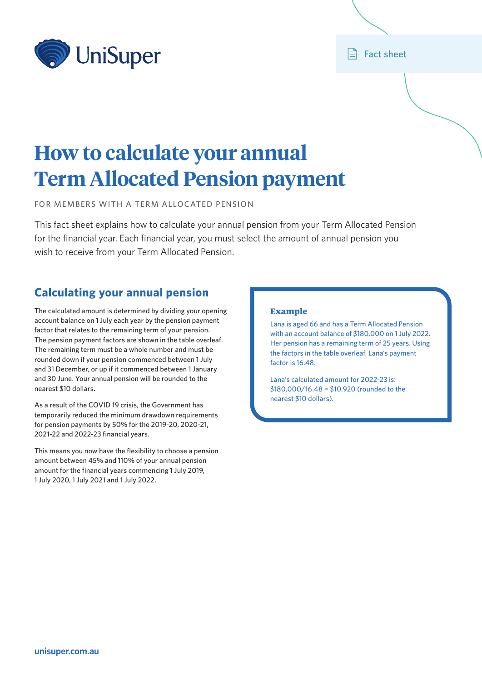

### **E** Fact sheet

# **How to calculate your annual Term Allocated Pension payment**

FOR MEMBERS WITH A TERM ALLOCATED PENSION

This fact sheet explains how to calculate your annual pension from your Term Allocated Pension for the financial year. Each financial year, you must select the amount of annual pension you wish to receive from your Term Allocated Pension.

## **Calculating your annual pension**

The calculated amount is determined by dividing your opening account balance on 1 July each year by the pension payment factor that relates to the remaining term of your pension. The pension payment factors are shown in the table overleaf. The remaining term must be a whole number and must be rounded down if your pension commenced between 1 July and 31 December, or up if it commenced between 1 January and 30 June. Your annual pension will be rounded to the nearest \$10 dollars.

As a result of the COVID 19 crisis, the Government has temporarily reduced the minimum drawdown requirements for pension payments by 50% for the 2019-20, 2020-21, 2021-22 and 2022-23 financial years.

This means you now have the flexibility to choose a pension amount between 45% and 110% of your annual pension amount for the financial years commencing 1 July 2019, 1 July 2020, 1 July 2021 and 1 July 2022.

#### **Example**

Lana is aged 66 and has a Term Allocated Pension with an account balance of \$180,000 on 1 July 2022. Her pension has a remaining term of 25 years. Using the factors in the table overleaf, Lana's payment factor is 16.48.

Lana's calculated amount for 2022-23 is: \$180,000/16.48 = \$10,920 (rounded to the nearest \$10 dollars).